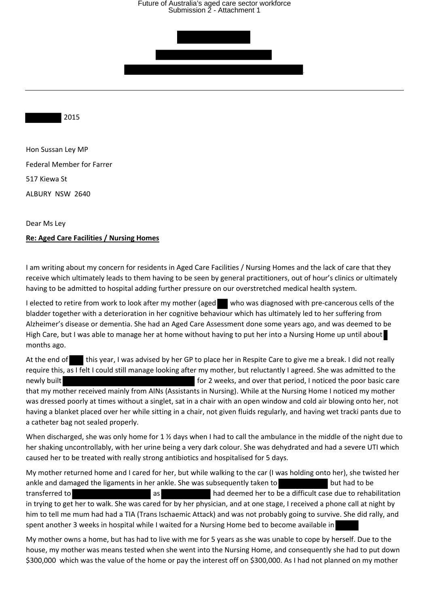## Future of Australia's aged care sector workforce Submission 2 - Attachment 1



2015

Hon Sussan Ley MP Federal Member for Farrer 517 Kiewa St ALBURY NSW 2640

Dear Ms Ley

### **Re: Aged Care Facilities / Nursing Homes**

I am writing about my concern for residents in Aged Care Facilities / Nursing Homes and the lack of care that they receive which ultimately leads to them having to be seen by general practitioners, out of hour's clinics or ultimately having to be admitted to hospital adding further pressure on our overstretched medical health system.

I elected to retire from work to look after my mother (aged who was diagnosed with pre-cancerous cells of the bladder together with a deterioration in her cognitive behaviour which has ultimately led to her suffering from Alzheimer's disease or dementia. She had an Aged Care Assessment done some years ago, and was deemed to be High Care, but I was able to manage her at home without having to put her into a Nursing Home up until about months ago.

At the end of this year, I was advised by her GP to place her in Respite Care to give me a break. I did not really require this, as I felt I could still manage looking after my mother, but reluctantly I agreed. She was admitted to the newly built **for 2** weeks, and over that period, I noticed the poor basic care that my mother received mainly from AINs (Assistants in Nursing). While at the Nursing Home I noticed my mother was dressed poorly at times without a singlet, sat in a chair with an open window and cold air blowing onto her, not having a blanket placed over her while sitting in a chair, not given fluids regularly, and having wet tracki pants due to a catheter bag not sealed properly.

When discharged, she was only home for 1 % days when I had to call the ambulance in the middle of the night due to her shaking uncontrollably, with her urine being a very dark colour. She was dehydrated and had a severe UTI which caused her to be treated with really strong antibiotics and hospitalised for 5 days.

My mother returned home and I cared for her, but while walking to the car (I was holding onto her), she twisted her ankle and damaged the ligaments in her ankle. She was subsequently taken to but had to be transferred to **and the set of the set of the set of the set of the ansiem** as **had deemed her to be a difficult case due to rehabilitation** in trying to get her to walk. She was cared for by her physician, and at one stage, I received a phone call at night by him to tell me mum had had a TIA (Trans Ischaemic Attack) and was not probably going to survive. She did rally, and spent another 3 weeks in hospital while I waited for a Nursing Home bed to become available in

My mother owns a home, but has had to live with me for 5 years as she was unable to cope by herself. Due to the house, my mother was means tested when she went into the Nursing Home, and consequently she had to put down \$300,000 which was the value of the home or pay the interest off on \$300,000. As I had not planned on my mother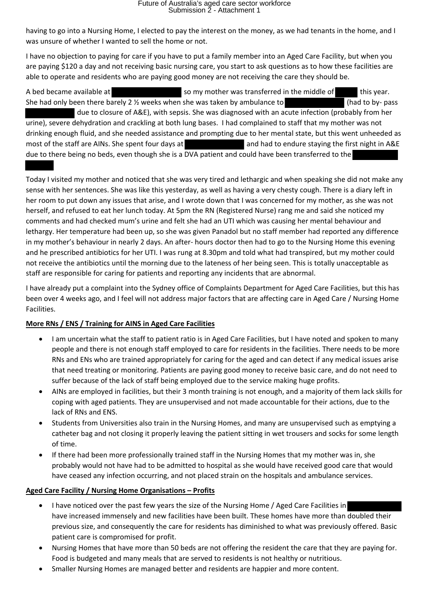having to go into a Nursing Home, I elected to pay the interest on the money, as we had tenants in the home, and I was unsure of whether I wanted to sell the home or not.

I have no objection to paying for care if you have to put a family member into an Aged Care Facility, but when you are paying \$120 a day and not receiving basic nursing care, you start to ask questions as to how these facilities are able to operate and residents who are paying good money are not receiving the care they should be.

A bed became available at so my mother was transferred in the middle of this year. She had only been there barely 2 <sup>1/2</sup> weeks when she was taken by ambulance to (had to by- pass due to closure of A&E), with sepsis. She was diagnosed with an acute infection (probably from her urine), severe dehydration and crackling at both lung bases. I had complained to staff that my mother was not drinking enough fluid, and she needed assistance and prompting due to her mental state, but this went unheeded as most of the staff are AINs. She spent four days at and had to endure staying the first night in A&E due to there being no beds, even though she is a DVA patient and could have been transferred to the

Today I visited my mother and noticed that she was very tired and lethargic and when speaking she did not make any sense with her sentences. She was like this yesterday, as well as having a very chesty cough. There is a diary left in her room to put down any issues that arise, and I wrote down that I was concerned for my mother, as she was not herself, and refused to eat her lunch today. At 5pm the RN (Registered Nurse) rang me and said she noticed my comments and had checked mum's urine and felt she had an UTI which was causing her mental behaviour and lethargy. Her temperature had been up, so she was given Panadol but no staff member had reported any difference in my mother's behaviour in nearly 2 days. An after- hours doctor then had to go to the Nursing Home this evening and he prescribed antibiotics for her UTI. I was rung at 8.30pm and told what had transpired, but my mother could not receive the antibiotics until the morning due to the lateness of her being seen. This is totally unacceptable as staff are responsible for caring for patients and reporting any incidents that are abnormal.

I have already put a complaint into the Sydney office of Complaints Department for Aged Care Facilities, but this has been over 4 weeks ago, and I feel will not address major factors that are affecting care in Aged Care / Nursing Home Facilities.

## **More RNs / ENS / Training for AINS in Aged Care Facilities**

- I am uncertain what the staff to patient ratio is in Aged Care Facilities, but I have noted and spoken to many people and there is not enough staff employed to care for residents in the facilities. There needs to be more RNs and ENs who are trained appropriately for caring for the aged and can detect if any medical issues arise that need treating or monitoring. Patients are paying good money to receive basic care, and do not need to suffer because of the lack of staff being employed due to the service making huge profits.
- AINs are employed in facilities, but their 3 month training is not enough, and a majority of them lack skills for coping with aged patients. They are unsupervised and not made accountable for their actions, due to the lack of RNs and ENS.
- Students from Universities also train in the Nursing Homes, and many are unsupervised such as emptying a catheter bag and not closing it properly leaving the patient sitting in wet trousers and socks for some length of time.
- If there had been more professionally trained staff in the Nursing Homes that my mother was in, she probably would not have had to be admitted to hospital as she would have received good care that would have ceased any infection occurring, and not placed strain on the hospitals and ambulance services.

## **Aged Care Facility / Nursing Home Organisations – Profits**

- I have noticed over the past few years the size of the Nursing Home / Aged Care Facilities in have increased immensely and new facilities have been built. These homes have more than doubled their previous size, and consequently the care for residents has diminished to what was previously offered. Basic patient care is compromised for profit.
- Nursing Homes that have more than 50 beds are not offering the resident the care that they are paying for. Food is budgeted and many meals that are served to residents is not healthy or nutritious.
- Smaller Nursing Homes are managed better and residents are happier and more content.